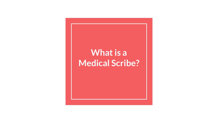#### **What is a Medical Scribe?**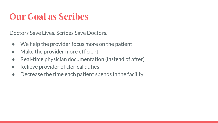#### **Our Goal as Scribes**

Doctors Save Lives. Scribes Save Doctors.

- We help the provider focus more on the patient
- Make the provider more efficient
- Real-time physician documentation (instead of after)
- Relieve provider of clerical duties
- Decrease the time each patient spends in the facility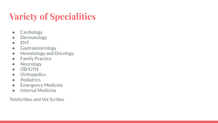# **Variety of Specialities**

- Cardiology
- Dermatology
- ENT
- Gastroenterology
- Hematology and Oncology
- Family Practice
- Neurology
- OB/GYN
- **•** Orthopedics
- Pediatrics
- Emergency Medicine
- Internal Medicine

TeleScribes and Vet Scribes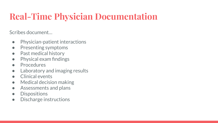# **Real-Time Physician Documentation**

Scribes document…

- Physician-patient interactions
- Presenting symptoms
- Past medical history
- Physical exam findings
- Procedures
- Laboratory and imaging results
- Clinical events
- Medical decision making
- Assessments and plans
- Dispositions
- Discharge instructions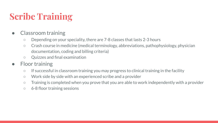# **Scribe Training**

- Classroom training
	- Depending on your speciality, there are 7-8 classes that lasts 2-3 hours
	- Crash course in medicine (medical terminology, abbreviations, pathophysiology, physician documentation, coding and billing criteria)
	- Quizzes and final examination
- Floor training
	- If successful in classroom training you may progress to clinical training in the facility
	- Work side by side with an experienced scribe and a provider
	- Training is completed when you prove that you are able to work independently with a provider
	- 6-8 floor training sessions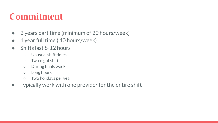#### **Commitment**

- 2 years part time (minimum of 20 hours/week)
- 1 year full time (40 hours/week)
- Shifts last 8-12 hours
	- Unusual shift times
	- Two night shifts
	- During finals week
	- Long hours
	- Two holidays per year
- $\bullet$  Typically work with one provider for the entire shift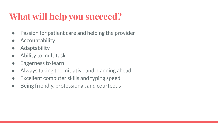# **What will help you succeed?**

- Passion for patient care and helping the provider
- **•** Accountability
- Adaptability
- Ability to multitask
- Eagerness to learn
- Always taking the initiative and planning ahead
- Excellent computer skills and typing speed
- Being friendly, professional, and courteous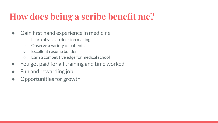#### **How does being a scribe benefit me?**

#### ● Gain first hand experience in medicine

- Learn physician decision making
- Observe a variety of patients
- Excellent resume builder
- Earn a competitive edge for medical school
- You get paid for all training and time worked
- Fun and rewarding job
- Opportunities for growth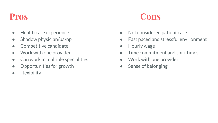- Health care experience
- Shadow physician/pa/np
- Competitive candidate
- Work with one provider
- Can work in multiple specialities
- Opportunities for growth
- **•** Flexibility



- Not considered patient care
- Fast paced and stressful environment
- Hourly wage
- Time commitment and shift times
- Work with one provider
- Sense of belonging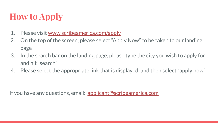# **How to Apply**

- 1. Please visit [www.scribeamerica.com/apply](http://www.scribeamerica.com/apply)
- 2. On the top of the screen, please select "Apply Now" to be taken to our landing page
- 3. In the search bar on the landing page, please type the city you wish to apply for and hit "search"
- 4. Please select the appropriate link that is displayed, and then select "apply now"

If you have any questions, email: [applicant@scribeamerica.com](mailto:applicant@scribeamerica.com)